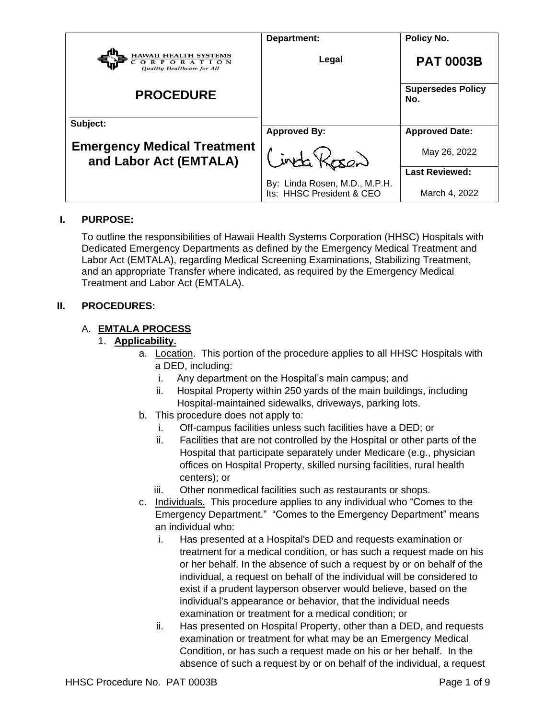|                                                                           | Department:                                                | Policy No.                      |
|---------------------------------------------------------------------------|------------------------------------------------------------|---------------------------------|
| <b>HAWAII HEALTH SYSTEMS</b><br>CORPORATION<br>Quality Healthcare for All | Legal                                                      | <b>PAT 0003B</b>                |
| <b>PROCEDURE</b>                                                          |                                                            | <b>Supersedes Policy</b><br>No. |
| Subject:                                                                  |                                                            |                                 |
|                                                                           | <b>Approved By:</b>                                        | <b>Approved Date:</b>           |
| <b>Emergency Medical Treatment</b><br>and Labor Act (EMTALA)              | inta Kosan                                                 | May 26, 2022                    |
|                                                                           |                                                            | <b>Last Reviewed:</b>           |
|                                                                           | By: Linda Rosen, M.D., M.P.H.<br>Its: HHSC President & CEO | March 4, 2022                   |

#### **I. PURPOSE:**

To outline the responsibilities of Hawaii Health Systems Corporation (HHSC) Hospitals with Dedicated Emergency Departments as defined by the Emergency Medical Treatment and Labor Act (EMTALA), regarding Medical Screening Examinations, Stabilizing Treatment, and an appropriate Transfer where indicated, as required by the Emergency Medical Treatment and Labor Act (EMTALA).

#### **II. PROCEDURES:**

#### A. **EMTALA PROCESS**

#### 1. **Applicability.**

- a. Location. This portion of the procedure applies to all HHSC Hospitals with a DED, including:
	- i. Any department on the Hospital's main campus; and
	- ii. Hospital Property within 250 yards of the main buildings, including Hospital-maintained sidewalks, driveways, parking lots.
- b. This procedure does not apply to:
	- i. Off-campus facilities unless such facilities have a DED; or
	- ii. Facilities that are not controlled by the Hospital or other parts of the Hospital that participate separately under Medicare (e.g., physician offices on Hospital Property, skilled nursing facilities, rural health centers); or
	- iii. Other nonmedical facilities such as restaurants or shops.
- c. Individuals. This procedure applies to any individual who "Comes to the Emergency Department." "Comes to the Emergency Department" means an individual who:
	- i. Has presented at a Hospital's DED and requests examination or treatment for a medical condition, or has such a request made on his or her behalf. In the absence of such a request by or on behalf of the individual, a request on behalf of the individual will be considered to exist if a prudent layperson observer would believe, based on the individual's appearance or behavior, that the individual needs examination or treatment for a medical condition; or
	- ii. Has presented on Hospital Property, other than a DED, and requests examination or treatment for what may be an Emergency Medical Condition, or has such a request made on his or her behalf. In the absence of such a request by or on behalf of the individual, a request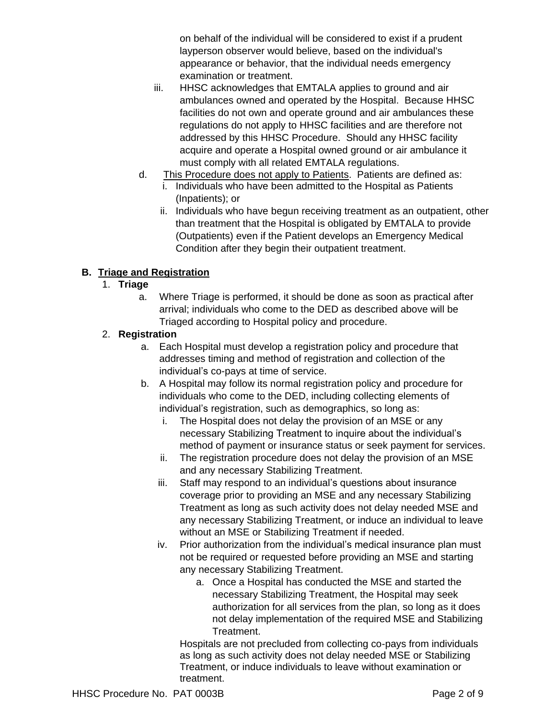on behalf of the individual will be considered to exist if a prudent layperson observer would believe, based on the individual's appearance or behavior, that the individual needs emergency examination or treatment.

- iii. HHSC acknowledges that EMTALA applies to ground and air ambulances owned and operated by the Hospital. Because HHSC facilities do not own and operate ground and air ambulances these regulations do not apply to HHSC facilities and are therefore not addressed by this HHSC Procedure. Should any HHSC facility acquire and operate a Hospital owned ground or air ambulance it must comply with all related EMTALA regulations.
- d. This Procedure does not apply to Patients. Patients are defined as:
	- i. Individuals who have been admitted to the Hospital as Patients (Inpatients); or
	- ii. Individuals who have begun receiving treatment as an outpatient, other than treatment that the Hospital is obligated by EMTALA to provide (Outpatients) even if the Patient develops an Emergency Medical Condition after they begin their outpatient treatment.

#### **B. Triage and Registration**

#### 1. **Triage**

a. Where Triage is performed, it should be done as soon as practical after arrival; individuals who come to the DED as described above will be Triaged according to Hospital policy and procedure.

#### 2. **Registration**

- a. Each Hospital must develop a registration policy and procedure that addresses timing and method of registration and collection of the individual's co-pays at time of service.
- b. A Hospital may follow its normal registration policy and procedure for individuals who come to the DED, including collecting elements of individual's registration, such as demographics, so long as:
	- i. The Hospital does not delay the provision of an MSE or any necessary Stabilizing Treatment to inquire about the individual's method of payment or insurance status or seek payment for services.
	- ii. The registration procedure does not delay the provision of an MSE and any necessary Stabilizing Treatment.
	- iii. Staff may respond to an individual's questions about insurance coverage prior to providing an MSE and any necessary Stabilizing Treatment as long as such activity does not delay needed MSE and any necessary Stabilizing Treatment, or induce an individual to leave without an MSE or Stabilizing Treatment if needed.
	- iv. Prior authorization from the individual's medical insurance plan must not be required or requested before providing an MSE and starting any necessary Stabilizing Treatment.
		- a. Once a Hospital has conducted the MSE and started the necessary Stabilizing Treatment, the Hospital may seek authorization for all services from the plan, so long as it does not delay implementation of the required MSE and Stabilizing Treatment.

Hospitals are not precluded from collecting co-pays from individuals as long as such activity does not delay needed MSE or Stabilizing Treatment, or induce individuals to leave without examination or treatment.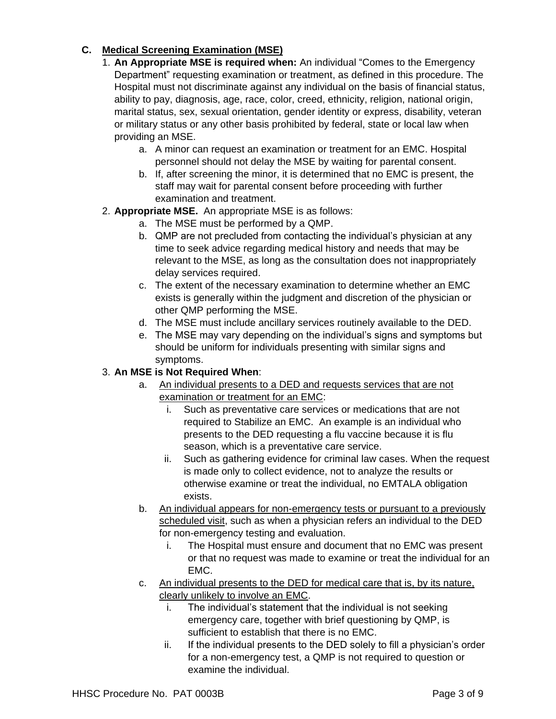#### **C. Medical Screening Examination (MSE)**

- 1. **An Appropriate MSE is required when:** An individual "Comes to the Emergency Department" requesting examination or treatment, as defined in this procedure. The Hospital must not discriminate against any individual on the basis of financial status, ability to pay, diagnosis, age, race, color, creed, ethnicity, religion, national origin, marital status, sex, sexual orientation, gender identity or express, disability, veteran or military status or any other basis prohibited by federal, state or local law when providing an MSE.
	- a. A minor can request an examination or treatment for an EMC. Hospital personnel should not delay the MSE by waiting for parental consent.
	- b. If, after screening the minor, it is determined that no EMC is present, the staff may wait for parental consent before proceeding with further examination and treatment.
- 2. **Appropriate MSE.** An appropriate MSE is as follows:
	- a. The MSE must be performed by a QMP.
	- b. QMP are not precluded from contacting the individual's physician at any time to seek advice regarding medical history and needs that may be relevant to the MSE, as long as the consultation does not inappropriately delay services required.
	- c. The extent of the necessary examination to determine whether an EMC exists is generally within the judgment and discretion of the physician or other QMP performing the MSE.
	- d. The MSE must include ancillary services routinely available to the DED.
	- e. The MSE may vary depending on the individual's signs and symptoms but should be uniform for individuals presenting with similar signs and symptoms.

# 3. **An MSE is Not Required When**:

- a. An individual presents to a DED and requests services that are not examination or treatment for an EMC:
	- i. Such as preventative care services or medications that are not required to Stabilize an EMC. An example is an individual who presents to the DED requesting a flu vaccine because it is flu season, which is a preventative care service.
	- ii. Such as gathering evidence for criminal law cases. When the request is made only to collect evidence, not to analyze the results or otherwise examine or treat the individual, no EMTALA obligation exists.
- b. An individual appears for non-emergency tests or pursuant to a previously scheduled visit, such as when a physician refers an individual to the DED for non-emergency testing and evaluation.
	- i. The Hospital must ensure and document that no EMC was present or that no request was made to examine or treat the individual for an EMC.
- c. An individual presents to the DED for medical care that is, by its nature, clearly unlikely to involve an EMC.
	- i. The individual's statement that the individual is not seeking emergency care, together with brief questioning by QMP, is sufficient to establish that there is no EMC.
	- ii. If the individual presents to the DED solely to fill a physician's order for a non-emergency test, a QMP is not required to question or examine the individual.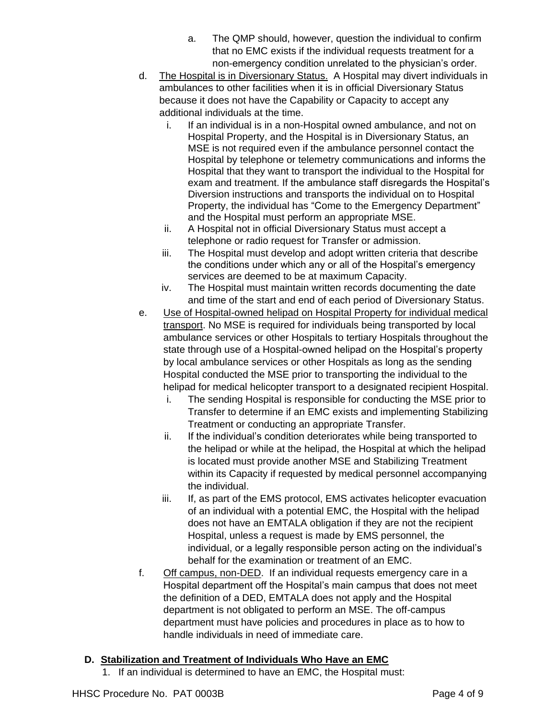- a. The QMP should, however, question the individual to confirm that no EMC exists if the individual requests treatment for a non-emergency condition unrelated to the physician's order.
- d. The Hospital is in Diversionary Status. A Hospital may divert individuals in ambulances to other facilities when it is in official Diversionary Status because it does not have the Capability or Capacity to accept any additional individuals at the time.
	- i. If an individual is in a non-Hospital owned ambulance, and not on Hospital Property, and the Hospital is in Diversionary Status, an MSE is not required even if the ambulance personnel contact the Hospital by telephone or telemetry communications and informs the Hospital that they want to transport the individual to the Hospital for exam and treatment. If the ambulance staff disregards the Hospital's Diversion instructions and transports the individual on to Hospital Property, the individual has "Come to the Emergency Department" and the Hospital must perform an appropriate MSE.
	- ii. A Hospital not in official Diversionary Status must accept a telephone or radio request for Transfer or admission.
	- iii. The Hospital must develop and adopt written criteria that describe the conditions under which any or all of the Hospital's emergency services are deemed to be at maximum Capacity.
	- iv. The Hospital must maintain written records documenting the date and time of the start and end of each period of Diversionary Status.
- e. Use of Hospital-owned helipad on Hospital Property for individual medical transport. No MSE is required for individuals being transported by local ambulance services or other Hospitals to tertiary Hospitals throughout the state through use of a Hospital-owned helipad on the Hospital's property by local ambulance services or other Hospitals as long as the sending Hospital conducted the MSE prior to transporting the individual to the helipad for medical helicopter transport to a designated recipient Hospital.
	- i. The sending Hospital is responsible for conducting the MSE prior to Transfer to determine if an EMC exists and implementing Stabilizing Treatment or conducting an appropriate Transfer.
	- ii. If the individual's condition deteriorates while being transported to the helipad or while at the helipad, the Hospital at which the helipad is located must provide another MSE and Stabilizing Treatment within its Capacity if requested by medical personnel accompanying the individual.
	- iii. If, as part of the EMS protocol, EMS activates helicopter evacuation of an individual with a potential EMC, the Hospital with the helipad does not have an EMTALA obligation if they are not the recipient Hospital, unless a request is made by EMS personnel, the individual, or a legally responsible person acting on the individual's behalf for the examination or treatment of an EMC.
- f. Off campus, non-DED. If an individual requests emergency care in a Hospital department off the Hospital's main campus that does not meet the definition of a DED, EMTALA does not apply and the Hospital department is not obligated to perform an MSE. The off-campus department must have policies and procedures in place as to how to handle individuals in need of immediate care.

#### **D. Stabilization and Treatment of Individuals Who Have an EMC**

1. If an individual is determined to have an EMC, the Hospital must: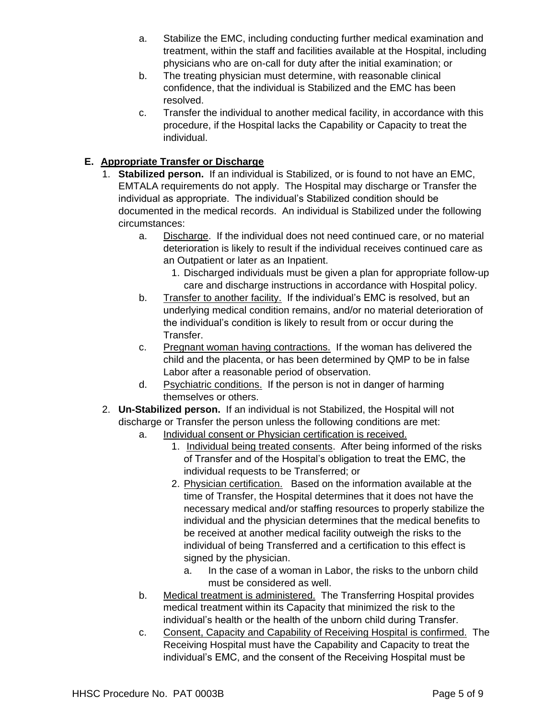- a. Stabilize the EMC, including conducting further medical examination and treatment, within the staff and facilities available at the Hospital, including physicians who are on-call for duty after the initial examination; or
- b. The treating physician must determine, with reasonable clinical confidence, that the individual is Stabilized and the EMC has been resolved.
- c. Transfer the individual to another medical facility, in accordance with this procedure, if the Hospital lacks the Capability or Capacity to treat the individual.

#### **E. Appropriate Transfer or Discharge**

- 1. **Stabilized person.** If an individual is Stabilized, or is found to not have an EMC, EMTALA requirements do not apply. The Hospital may discharge or Transfer the individual as appropriate. The individual's Stabilized condition should be documented in the medical records. An individual is Stabilized under the following circumstances:
	- a. Discharge. If the individual does not need continued care, or no material deterioration is likely to result if the individual receives continued care as an Outpatient or later as an Inpatient.
		- 1. Discharged individuals must be given a plan for appropriate follow-up care and discharge instructions in accordance with Hospital policy.
	- b. Transfer to another facility. If the individual's EMC is resolved, but an underlying medical condition remains, and/or no material deterioration of the individual's condition is likely to result from or occur during the Transfer.
	- c. Pregnant woman having contractions. If the woman has delivered the child and the placenta, or has been determined by QMP to be in false Labor after a reasonable period of observation.
	- d. Psychiatric conditions. If the person is not in danger of harming themselves or others.
- 2. **Un-Stabilized person.** If an individual is not Stabilized, the Hospital will not discharge or Transfer the person unless the following conditions are met:
	- a. Individual consent or Physician certification is received.
		- 1. Individual being treated consents. After being informed of the risks of Transfer and of the Hospital's obligation to treat the EMC, the individual requests to be Transferred; or
		- 2. Physician certification. Based on the information available at the time of Transfer, the Hospital determines that it does not have the necessary medical and/or staffing resources to properly stabilize the individual and the physician determines that the medical benefits to be received at another medical facility outweigh the risks to the individual of being Transferred and a certification to this effect is signed by the physician.
			- a. In the case of a woman in Labor, the risks to the unborn child must be considered as well.
	- b. Medical treatment is administered. The Transferring Hospital provides medical treatment within its Capacity that minimized the risk to the individual's health or the health of the unborn child during Transfer.
	- c. Consent, Capacity and Capability of Receiving Hospital is confirmed. The Receiving Hospital must have the Capability and Capacity to treat the individual's EMC, and the consent of the Receiving Hospital must be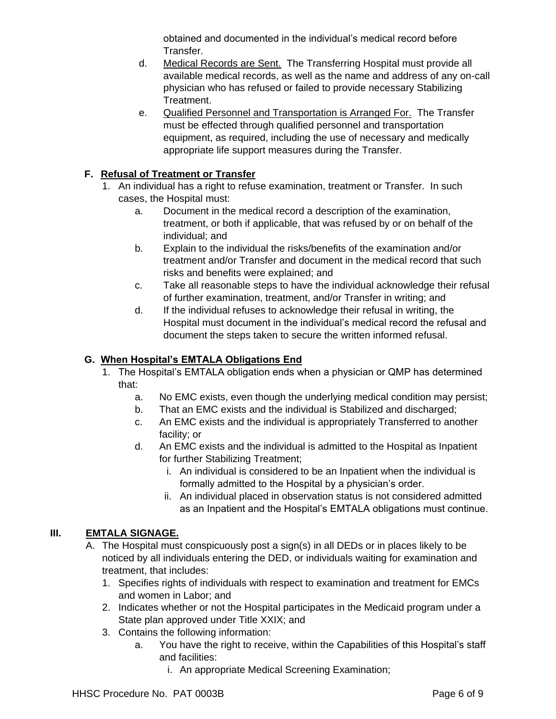obtained and documented in the individual's medical record before Transfer.

- d. Medical Records are Sent. The Transferring Hospital must provide all available medical records, as well as the name and address of any on-call physician who has refused or failed to provide necessary Stabilizing Treatment.
- e. Qualified Personnel and Transportation is Arranged For. The Transfer must be effected through qualified personnel and transportation equipment, as required, including the use of necessary and medically appropriate life support measures during the Transfer.

# **F. Refusal of Treatment or Transfer**

- 1. An individual has a right to refuse examination, treatment or Transfer. In such cases, the Hospital must:
	- a. Document in the medical record a description of the examination, treatment, or both if applicable, that was refused by or on behalf of the individual; and
	- b. Explain to the individual the risks/benefits of the examination and/or treatment and/or Transfer and document in the medical record that such risks and benefits were explained; and
	- c. Take all reasonable steps to have the individual acknowledge their refusal of further examination, treatment, and/or Transfer in writing; and
	- d. If the individual refuses to acknowledge their refusal in writing, the Hospital must document in the individual's medical record the refusal and document the steps taken to secure the written informed refusal.

#### **G. When Hospital's EMTALA Obligations End**

- 1. The Hospital's EMTALA obligation ends when a physician or QMP has determined that:
	- a. No EMC exists, even though the underlying medical condition may persist;
	- b. That an EMC exists and the individual is Stabilized and discharged;
	- c. An EMC exists and the individual is appropriately Transferred to another facility; or
	- d. An EMC exists and the individual is admitted to the Hospital as Inpatient for further Stabilizing Treatment;
		- i. An individual is considered to be an Inpatient when the individual is formally admitted to the Hospital by a physician's order.
		- ii. An individual placed in observation status is not considered admitted as an Inpatient and the Hospital's EMTALA obligations must continue.

#### **III. EMTALA SIGNAGE.**

- A. The Hospital must conspicuously post a sign(s) in all DEDs or in places likely to be noticed by all individuals entering the DED, or individuals waiting for examination and treatment, that includes:
	- 1. Specifies rights of individuals with respect to examination and treatment for EMCs and women in Labor; and
	- 2. Indicates whether or not the Hospital participates in the Medicaid program under a State plan approved under Title XXIX; and
	- 3. Contains the following information:
		- a. You have the right to receive, within the Capabilities of this Hospital's staff and facilities:
			- i. An appropriate Medical Screening Examination;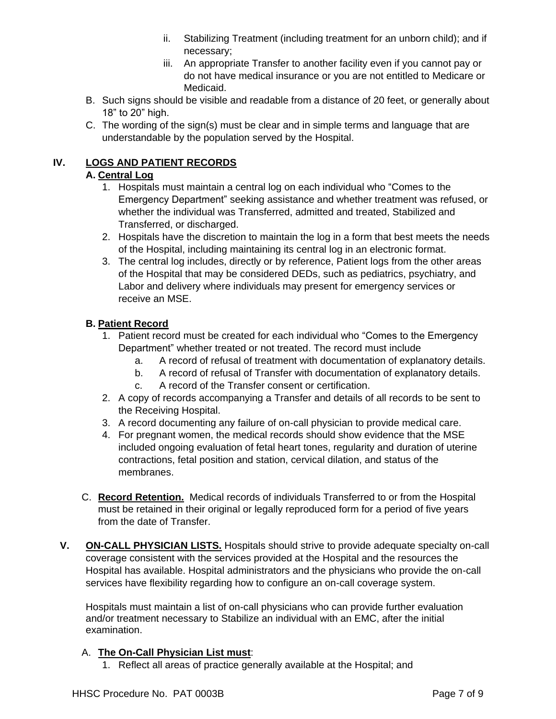- ii. Stabilizing Treatment (including treatment for an unborn child); and if necessary;
- iii. An appropriate Transfer to another facility even if you cannot pay or do not have medical insurance or you are not entitled to Medicare or Medicaid.
- B. Such signs should be visible and readable from a distance of 20 feet, or generally about 18" to 20" high.
- C. The wording of the sign(s) must be clear and in simple terms and language that are understandable by the population served by the Hospital.

#### **IV. LOGS AND PATIENT RECORDS**

#### **A. Central Log**

- 1. Hospitals must maintain a central log on each individual who "Comes to the Emergency Department" seeking assistance and whether treatment was refused, or whether the individual was Transferred, admitted and treated, Stabilized and Transferred, or discharged.
- 2. Hospitals have the discretion to maintain the log in a form that best meets the needs of the Hospital, including maintaining its central log in an electronic format.
- 3. The central log includes, directly or by reference, Patient logs from the other areas of the Hospital that may be considered DEDs, such as pediatrics, psychiatry, and Labor and delivery where individuals may present for emergency services or receive an MSE.

#### **B. Patient Record**

- 1. Patient record must be created for each individual who "Comes to the Emergency Department" whether treated or not treated. The record must include
	- a. A record of refusal of treatment with documentation of explanatory details.
	- b. A record of refusal of Transfer with documentation of explanatory details.
	- c. A record of the Transfer consent or certification.
- 2. A copy of records accompanying a Transfer and details of all records to be sent to the Receiving Hospital.
- 3. A record documenting any failure of on-call physician to provide medical care.
- 4. For pregnant women, the medical records should show evidence that the MSE included ongoing evaluation of fetal heart tones, regularity and duration of uterine contractions, fetal position and station, cervical dilation, and status of the membranes.
- C. **Record Retention.** Medical records of individuals Transferred to or from the Hospital must be retained in their original or legally reproduced form for a period of five years from the date of Transfer.
- **V. ON-CALL PHYSICIAN LISTS.** Hospitals should strive to provide adequate specialty on-call coverage consistent with the services provided at the Hospital and the resources the Hospital has available. Hospital administrators and the physicians who provide the on-call services have flexibility regarding how to configure an on-call coverage system.

Hospitals must maintain a list of on-call physicians who can provide further evaluation and/or treatment necessary to Stabilize an individual with an EMC, after the initial examination.

#### A. **The On-Call Physician List must**:

1. Reflect all areas of practice generally available at the Hospital; and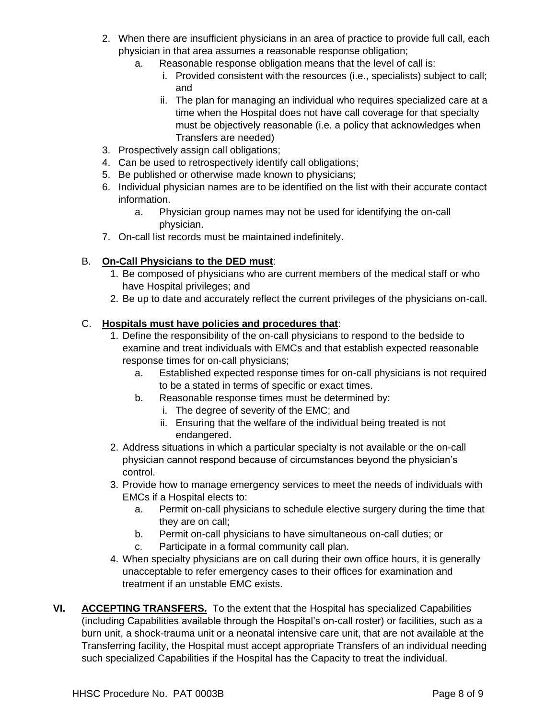- 2. When there are insufficient physicians in an area of practice to provide full call, each physician in that area assumes a reasonable response obligation;
	- a. Reasonable response obligation means that the level of call is:
		- i. Provided consistent with the resources (i.e., specialists) subject to call; and
		- ii. The plan for managing an individual who requires specialized care at a time when the Hospital does not have call coverage for that specialty must be objectively reasonable (i.e. a policy that acknowledges when Transfers are needed)
- 3. Prospectively assign call obligations;
- 4. Can be used to retrospectively identify call obligations;
- 5. Be published or otherwise made known to physicians;
- 6. Individual physician names are to be identified on the list with their accurate contact information.
	- a. Physician group names may not be used for identifying the on-call physician.
- 7. On-call list records must be maintained indefinitely.

# B. **On-Call Physicians to the DED must**:

- 1. Be composed of physicians who are current members of the medical staff or who have Hospital privileges; and
- 2. Be up to date and accurately reflect the current privileges of the physicians on-call.

#### C. **Hospitals must have policies and procedures that**:

- 1. Define the responsibility of the on-call physicians to respond to the bedside to examine and treat individuals with EMCs and that establish expected reasonable response times for on-call physicians;
	- a. Established expected response times for on-call physicians is not required to be a stated in terms of specific or exact times.
	- b. Reasonable response times must be determined by:
		- i. The degree of severity of the EMC; and
		- ii. Ensuring that the welfare of the individual being treated is not endangered.
- 2. Address situations in which a particular specialty is not available or the on-call physician cannot respond because of circumstances beyond the physician's control.
- 3. Provide how to manage emergency services to meet the needs of individuals with EMCs if a Hospital elects to:
	- a. Permit on-call physicians to schedule elective surgery during the time that they are on call;
	- b. Permit on-call physicians to have simultaneous on-call duties; or
	- c. Participate in a formal community call plan.
- 4. When specialty physicians are on call during their own office hours, it is generally unacceptable to refer emergency cases to their offices for examination and treatment if an unstable EMC exists.
- **VI. ACCEPTING TRANSFERS.** To the extent that the Hospital has specialized Capabilities (including Capabilities available through the Hospital's on-call roster) or facilities, such as a burn unit, a shock-trauma unit or a neonatal intensive care unit, that are not available at the Transferring facility, the Hospital must accept appropriate Transfers of an individual needing such specialized Capabilities if the Hospital has the Capacity to treat the individual.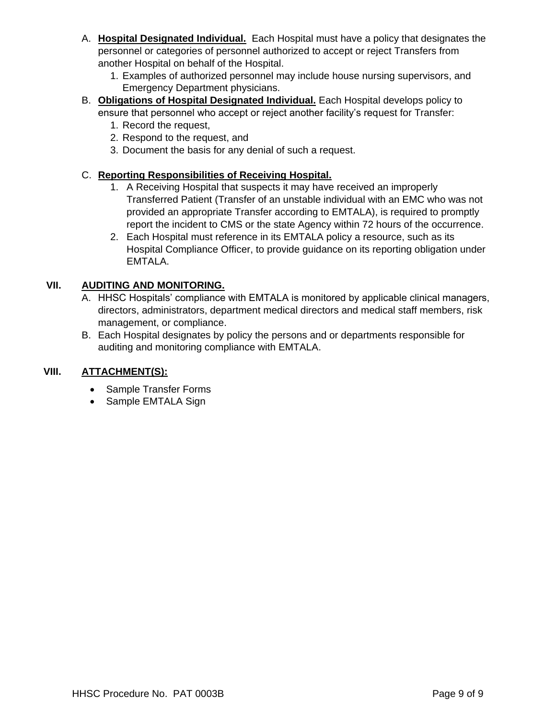- A. **Hospital Designated Individual.** Each Hospital must have a policy that designates the personnel or categories of personnel authorized to accept or reject Transfers from another Hospital on behalf of the Hospital.
	- 1. Examples of authorized personnel may include house nursing supervisors, and Emergency Department physicians.
- B. **Obligations of Hospital Designated Individual.** Each Hospital develops policy to ensure that personnel who accept or reject another facility's request for Transfer:
	- 1. Record the request,
	- 2. Respond to the request, and
	- 3. Document the basis for any denial of such a request.

#### C. **Reporting Responsibilities of Receiving Hospital.**

- 1. A Receiving Hospital that suspects it may have received an improperly Transferred Patient (Transfer of an unstable individual with an EMC who was not provided an appropriate Transfer according to EMTALA), is required to promptly report the incident to CMS or the state Agency within 72 hours of the occurrence.
- 2. Each Hospital must reference in its EMTALA policy a resource, such as its Hospital Compliance Officer, to provide guidance on its reporting obligation under EMTALA.

#### **VII. AUDITING AND MONITORING.**

- A. HHSC Hospitals' compliance with EMTALA is monitored by applicable clinical managers, directors, administrators, department medical directors and medical staff members, risk management, or compliance.
- B. Each Hospital designates by policy the persons and or departments responsible for auditing and monitoring compliance with EMTALA.

#### **VIII. ATTACHMENT(S):**

- Sample Transfer Forms
- Sample EMTALA Sign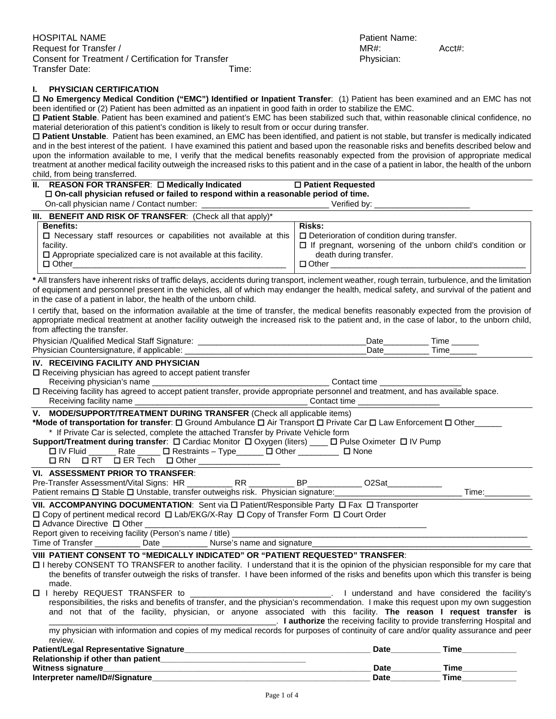#### **I. PHYSICIAN CERTIFICATION**

 **No Emergency Medical Condition ("EMC") Identified or Inpatient Transfer**: (1) Patient has been examined and an EMC has not been identified or (2) Patient has been admitted as an inpatient in good faith in order to stabilize the EMC.

 **Patient Stable**. Patient has been examined and patient's EMC has been stabilized such that, within reasonable clinical confidence, no material deterioration of this patient's condition is likely to result from or occur during transfer.

 **Patient Unstable**. Patient has been examined, an EMC has been identified, and patient is not stable, but transfer is medically indicated and in the best interest of the patient. I have examined this patient and based upon the reasonable risks and benefits described below and upon the information available to me, I verify that the medical benefits reasonably expected from the provision of appropriate medical treatment at another medical facility outweigh the increased risks to this patient and in the case of a patient in labor, the health of the unborn child, from being transferred.

# **II. REASON FOR TRANSFER:** □ Medically Indicated ■ □ Patient Requested

**On-call physician refused or failed to respond within a reasonable period of time.**

On-call physician name / Contact number: \_\_\_\_\_\_\_\_\_\_\_\_\_\_\_\_\_\_\_\_\_\_\_\_\_\_\_\_ Verified by: \_\_\_\_\_\_\_\_\_\_\_\_\_\_\_\_\_\_\_\_\_

| <b>III. BENEFIT AND RISK OF TRANSFER:</b> (Check all that apply) <sup>*</sup>                                             |                                                                  |
|---------------------------------------------------------------------------------------------------------------------------|------------------------------------------------------------------|
| <b>Benefits:</b>                                                                                                          | Risks:                                                           |
| $\Box$ Necessary staff resources or capabilities not available at this $\Box$ Deterioration of condition during transfer. |                                                                  |
| facility.                                                                                                                 | $\Box$ If pregnant, worsening of the unborn child's condition or |
| $\Box$ Appropriate specialized care is not available at this facility.                                                    | death during transfer.                                           |
| $\Box$ Other                                                                                                              | $\Box$ Other                                                     |
|                                                                                                                           |                                                                  |

**\*** All transfers have inherent risks of traffic delays, accidents during transport, inclement weather, rough terrain, turbulence, and the limitation of equipment and personnel present in the vehicles, all of which may endanger the health, medical safety, and survival of the patient and in the case of a patient in labor, the health of the unborn child.

I certify that, based on the information available at the time of transfer, the medical benefits reasonably expected from the provision of appropriate medical treatment at another facility outweigh the increased risk to the patient and, in the case of labor, to the unborn child, from affecting the transfer.

| Physician /Qualified Medical Staff Signature: |  |
|-----------------------------------------------|--|
| Physician Countersignature, if applicable:    |  |

#### **IV. RECEIVING FACILITY AND PHYSICIAN**

 $\square$  Receiving physician has agreed to accept patient transfer

Receiving physician's name **Exerces** and the set of the contact time  $\blacksquare$ 

 Receiving facility has agreed to accept patient transfer, provide appropriate personnel and treatment, and has available space. Receiving facility name **Exerceiving facility name Network Contact time Contact time** 

**V. MODE/SUPPORT/TREATMENT DURING TRANSFER** (Check all applicable items)

| *Mode of transportation for transfer: □ Ground Ambulance □ Air Transport □ Private Car □ Law Enforcement □ Other |  |  |  |
|------------------------------------------------------------------------------------------------------------------|--|--|--|
| * If Private Car is selected, complete the attached Transfer by Private Vehicle form                             |  |  |  |

| Support/Treatment during transfer: □ Cardiac Monitor □ Oxygen (liters) ____ [ |  |  | L Pulse Oximeter D IV Pump |  |
|-------------------------------------------------------------------------------|--|--|----------------------------|--|
|-------------------------------------------------------------------------------|--|--|----------------------------|--|

| コ IV Fluid | ⊰ate | コ Restraints – Tvpe | $Q$ ther |  |
|------------|------|---------------------|----------|--|
|------------|------|---------------------|----------|--|

#### $\Box$  RN  $\Box$  RT  $\Box$  ER Tech  $\Box$  Other **VI. ASSESSMENT PRIOR TO TRANSFER**:

Pre-Transfer Assessment/Vital Signs: HR \_\_\_\_\_\_\_\_\_\_ RR \_\_\_\_\_\_\_\_\_\_ BP\_\_\_\_\_\_\_\_\_\_\_\_ O2Sat\_\_\_\_\_\_\_\_\_\_\_\_ Patient remains Stable Unstable, transfer outweighs risk. Physician signature:\_\_\_\_\_\_\_\_\_\_\_\_\_\_\_\_\_\_\_\_\_\_\_\_\_\_\_\_ Time:\_\_\_\_\_\_\_\_\_\_

**VII. ACCOMPANYING DOCUMENTATION:** Sent via □ Patient/Responsible Party □ Fax □ Transporter Copy of pertinent medical record Lab/EKG/X-Ray Copy of Transfer Form Court Order

 $\square$  Advance Directive  $\square$  Other

| Report given to receiving facility (Person's name /<br>/ title |  |
|----------------------------------------------------------------|--|
|                                                                |  |

Time of Transfer \_\_\_\_\_\_\_\_\_\_\_\_ Date \_\_\_\_\_\_\_\_\_\_\_\_\_\_\_ Nurse's name and signature\_

#### **VIII PATIENT CONSENT TO "MEDICALLY INDICATED" OR "PATIENT REQUESTED" TRANSFER**:

 I hereby CONSENT TO TRANSFER to another facility. I understand that it is the opinion of the physician responsible for my care that the benefits of transfer outweigh the risks of transfer. I have been informed of the risks and benefits upon which this transfer is being made.

| □ 1 |  |  | hereby REQUEST TRANSFER to |  |  |  |  |  | understand and have considered the facility's                                                                                        |  |  |
|-----|--|--|----------------------------|--|--|--|--|--|--------------------------------------------------------------------------------------------------------------------------------------|--|--|
|     |  |  |                            |  |  |  |  |  | responsibilities, the risks and benefits of transfer, and the physician's recommendation. I make this request upon my own suggestion |  |  |
|     |  |  |                            |  |  |  |  |  | and not that of the facility, physician, or anyone associated with this facility. The reason I request transfer is                   |  |  |
|     |  |  |                            |  |  |  |  |  | <b>I authorize</b> the receiving facility to provide transferring Hospital and                                                       |  |  |
|     |  |  |                            |  |  |  |  |  | my physician with information and copies of my medical records for purposes of continuity of care and/or quality assurance and peer  |  |  |

| Time |
|------|
|      |
| Time |
| Time |
|      |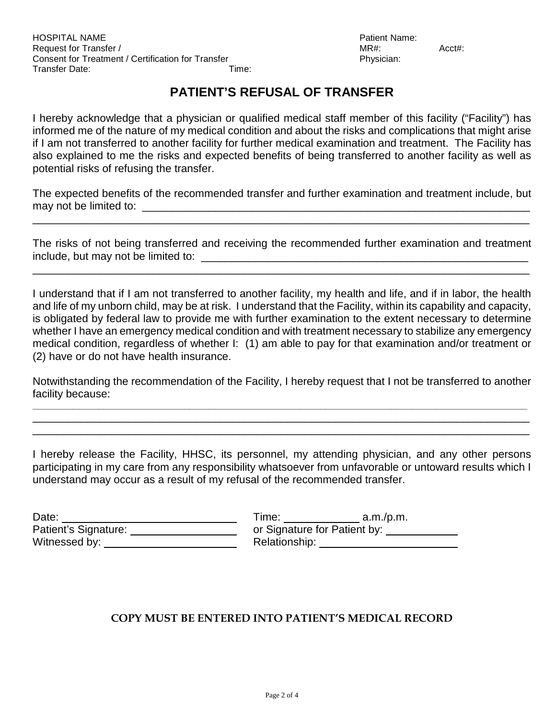# **PATIENT'S REFUSAL OF TRANSFER**

I hereby acknowledge that a physician or qualified medical staff member of this facility ("Facility") has informed me of the nature of my medical condition and about the risks and complications that might arise if I am not transferred to another facility for further medical examination and treatment. The Facility has also explained to me the risks and expected benefits of being transferred to another facility as well as potential risks of refusing the transfer.

The expected benefits of the recommended transfer and further examination and treatment include, but may not be limited to: \_\_\_\_\_\_\_\_\_\_\_\_\_\_\_\_\_\_\_\_\_\_\_\_\_\_\_\_\_\_\_\_\_\_\_\_\_\_\_\_\_\_\_\_\_\_\_\_\_\_\_\_\_\_\_\_\_\_\_\_\_\_\_\_

\_\_\_\_\_\_\_\_\_\_\_\_\_\_\_\_\_\_\_\_\_\_\_\_\_\_\_\_\_\_\_\_\_\_\_\_\_\_\_\_\_\_\_\_\_\_\_\_\_\_\_\_\_\_\_\_\_\_\_\_\_\_\_\_\_\_\_\_\_\_\_\_\_\_\_\_\_\_\_\_\_\_

The risks of not being transferred and receiving the recommended further examination and treatment include, but may not be limited to: \_\_\_\_\_\_\_\_\_\_\_\_\_\_\_\_\_\_\_\_\_\_\_\_\_\_\_\_\_\_\_\_\_\_\_\_\_\_\_\_\_\_\_\_\_\_\_\_\_\_\_\_\_\_

\_\_\_\_\_\_\_\_\_\_\_\_\_\_\_\_\_\_\_\_\_\_\_\_\_\_\_\_\_\_\_\_\_\_\_\_\_\_\_\_\_\_\_\_\_\_\_\_\_\_\_\_\_\_\_\_\_\_\_\_\_\_\_\_\_\_\_\_\_\_\_\_\_\_\_\_\_\_\_\_\_\_

I understand that if I am not transferred to another facility, my health and life, and if in labor, the health and life of my unborn child, may be at risk. I understand that the Facility, within its capability and capacity, is obligated by federal law to provide me with further examination to the extent necessary to determine whether I have an emergency medical condition and with treatment necessary to stabilize any emergency medical condition, regardless of whether I: (1) am able to pay for that examination and/or treatment or (2) have or do not have health insurance.

Notwithstanding the recommendation of the Facility, I hereby request that I not be transferred to another facility because:

**\_\_\_\_\_\_\_\_\_\_\_\_\_\_\_\_\_\_\_\_\_\_\_\_\_\_\_\_\_\_\_\_\_\_\_\_\_\_\_\_\_\_\_\_\_\_\_\_\_\_\_\_\_\_\_\_\_\_\_\_\_\_\_\_\_\_\_\_\_\_\_\_\_\_\_\_\_\_\_\_\_\_\_\_\_\_\_\_\_\_\_\_\_\_\_\_\_\_** \_\_\_\_\_\_\_\_\_\_\_\_\_\_\_\_\_\_\_\_\_\_\_\_\_\_\_\_\_\_\_\_\_\_\_\_\_\_\_\_\_\_\_\_\_\_\_\_\_\_\_\_\_\_\_\_\_\_\_\_\_\_\_\_\_\_\_\_\_\_\_\_\_\_\_\_\_\_\_\_\_\_ \_\_\_\_\_\_\_\_\_\_\_\_\_\_\_\_\_\_\_\_\_\_\_\_\_\_\_\_\_\_\_\_\_\_\_\_\_\_\_\_\_\_\_\_\_\_\_\_\_\_\_\_\_\_\_\_\_\_\_\_\_\_\_\_\_\_\_\_\_\_\_\_\_\_\_\_\_\_\_\_\_\_

I hereby release the Facility, HHSC, its personnel, my attending physician, and any other persons participating in my care from any responsibility whatsoever from unfavorable or untoward results which I understand may occur as a result of my refusal of the recommended transfer.

| Date:                | Time:                        | a.m./p.m. |
|----------------------|------------------------------|-----------|
| Patient's Signature: | or Signature for Patient by: |           |
| Witnessed by:        | Relationship:                |           |

| Fime:                        | a.m./p.m. |  |
|------------------------------|-----------|--|
| or Signature for Patient by: |           |  |
| Relationship:                |           |  |

# **COPY MUST BE ENTERED INTO PATIENT'S MEDICAL RECORD**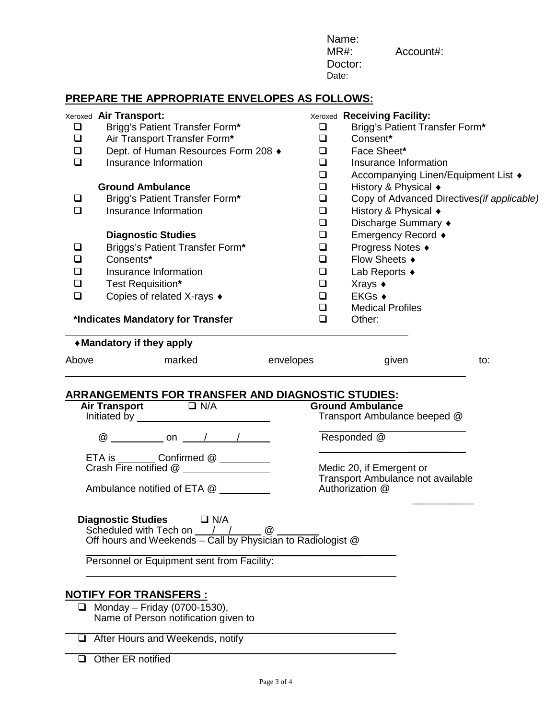|                                                                                        |                                                                                                                                                                                                                                                                                                                                                                                                                                                                              | $MR#$ :<br>Date:                                                                                                               | Name:<br>Doctor:                                                                                                                                                                                                                                                                             | Account#:                                                                                                            |     |
|----------------------------------------------------------------------------------------|------------------------------------------------------------------------------------------------------------------------------------------------------------------------------------------------------------------------------------------------------------------------------------------------------------------------------------------------------------------------------------------------------------------------------------------------------------------------------|--------------------------------------------------------------------------------------------------------------------------------|----------------------------------------------------------------------------------------------------------------------------------------------------------------------------------------------------------------------------------------------------------------------------------------------|----------------------------------------------------------------------------------------------------------------------|-----|
|                                                                                        | PREPARE THE APPROPRIATE ENVELOPES AS FOLLOWS:                                                                                                                                                                                                                                                                                                                                                                                                                                |                                                                                                                                |                                                                                                                                                                                                                                                                                              |                                                                                                                      |     |
| $\Box$<br>$\Box$<br>$\Box$<br>$\Box$<br>❏<br>$\Box$<br>⊔<br>$\Box$<br>❏<br>❏<br>$\Box$ | Xeroxed Air Transport:<br>Brigg's Patient Transfer Form*<br>Air Transport Transfer Form*<br>Dept. of Human Resources Form 208 +<br>Insurance Information<br><b>Ground Ambulance</b><br>Brigg's Patient Transfer Form*<br>Insurance Information<br><b>Diagnostic Studies</b><br>Briggs's Patient Transfer Form*<br>Consents*<br>Insurance Information<br>Test Requisition*<br>Copies of related X-rays ♦<br>*Indicates Mandatory for Transfer                                 | ❏<br>$\Box$<br>❏<br>$\Box$<br>$\Box$<br>$\Box$<br>$\Box$<br>$\Box$<br>$\Box$<br>$\Box$<br>❏<br>❏<br>❏<br>❏<br>❏<br>❏<br>$\Box$ | Xeroxed Receiving Facility:<br>Consent*<br>Face Sheet*<br>Insurance Information<br>History & Physical +<br>History & Physical ♦<br>Discharge Summary ♦<br>Emergency Record ♦<br>Progress Notes ♦<br>Flow Sheets ♦<br>Lab Reports ♦<br>Xrays ◆<br>EKGs ◆<br><b>Medical Profiles</b><br>Other: | Brigg's Patient Transfer Form*<br>Accompanying Linen/Equipment List ♦<br>Copy of Advanced Directives (if applicable) |     |
| Above                                                                                  | ◆ Mandatory if they apply<br>envelopes<br>marked                                                                                                                                                                                                                                                                                                                                                                                                                             |                                                                                                                                | given                                                                                                                                                                                                                                                                                        |                                                                                                                      | to: |
|                                                                                        | <b>ARRANGEMENTS FOR TRANSFER AND DIAGNOSTIC STUDIES:</b><br><b>Air Transport</b><br>$\Box$ N/A<br>Initiated by<br>$^\text{\textregistered}$<br>$\begin{array}{cccccccccc} \textbf{on} & & / & / \end{array}$<br>Ambulance notified of ETA @<br><b>Diagnostic Studies</b><br>$\Box$ N/A<br>Scheduled with Tech on $\frac{1}{2}$ $\frac{1}{2}$ $\frac{1}{2}$ $\frac{1}{2}$ $\frac{1}{2}$ $\frac{1}{2}$ Off hours and Weekends – Call by Physician to Radiologist $\frac{1}{2}$ |                                                                                                                                | <b>Ground Ambulance</b><br>Transport Ambulance beeped @<br>Responded @<br>Medic 20, if Emergent or<br>Authorization @                                                                                                                                                                        | Transport Ambulance not available                                                                                    |     |
| □                                                                                      | Personnel or Equipment sent from Facility:<br><u>NOTIFY FOR TRANSFERS :</u><br>Monday - Friday (0700-1530),<br>Name of Person notification given to<br>After Hours and Weekends, notify                                                                                                                                                                                                                                                                                      |                                                                                                                                |                                                                                                                                                                                                                                                                                              |                                                                                                                      |     |

Other ER notified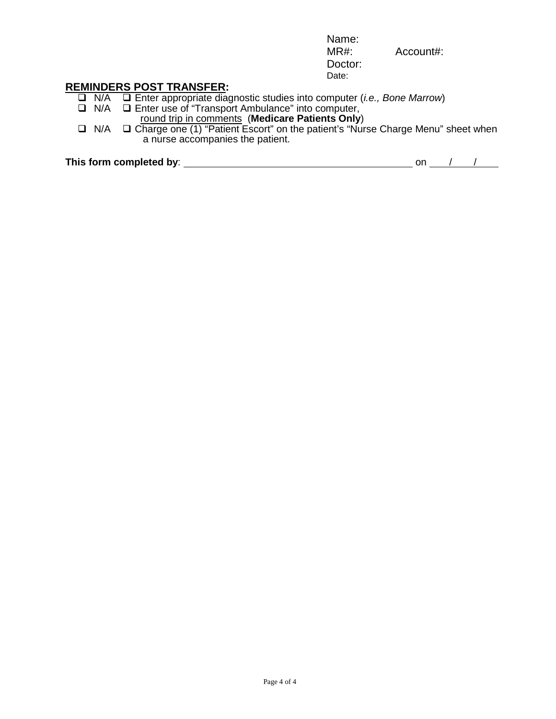Name: MR#: Account#: Doctor: Date:

**REMINDERS POST TRANSFER:**<br> **D** N/A **D** Enter appropriate diac

- N/A Enter appropriate diagnostic studies into computer (*i.e., Bone Marrow*)
- □ N/A □ Enter use of "Transport Ambulance" into computer, round trip in comments (**Medicare Patients Only**)
- **□** N/A **□** Charge one (1) "Patient Escort" on the patient's "Nurse Charge Menu" sheet when a nurse accompanies the patient.

This form completed by: <u>on *i on on i on i on on i on i on i on i on i on i on i on i on i on i on i on i on i on i on i on i on i on i o</u>* 

| on |  |  |
|----|--|--|
|    |  |  |